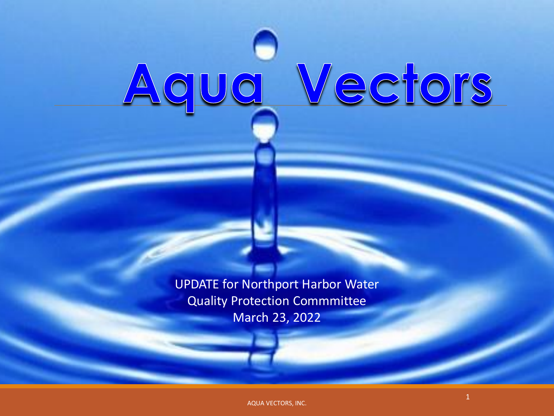# Aqua Vectors

UPDATE for Northport Harbor Water Quality Protection Commmittee March 23, 2022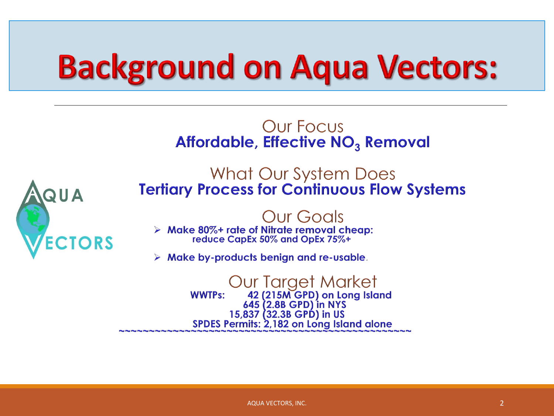# **Background on Aqua Vectors:**

#### Our Focus **Affordable, Effective NO<sub>3</sub> Removal**



What Our System Does **Tertiary Process for Continuous Flow Systems** 

#### Our Goals

 $\triangleright$  Make 80%+ rate of Nitrate removal cheap: reduce CapEx 50% and OpEx 75%+

 $\triangleright$  Make by-products benign and re-usable.

Our Target Market<br>42 (215M GPD) on Long Island<br>645 (2.8B GPD) in NYS **WWTPs:** 15,837 (32.3B GPD) in US SPDES Permits: 2,182 on Long Island alone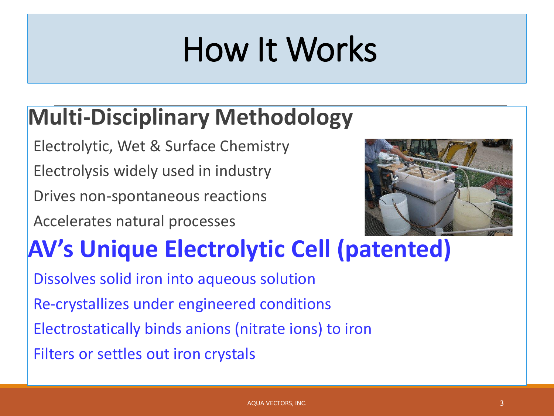# How It Works

## **Multi-Disciplinary Methodology**

Electrolytic, Wet & Surface Chemistry

Electrolysis widely used in industry

Drives non-spontaneous reactions

Accelerates natural processes



## **AV's Unique Electrolytic Cell (patented)**

Dissolves solid iron into aqueous solution Re-crystallizes under engineered conditions Electrostatically binds anions (nitrate ions) to iron Filters or settles out iron crystals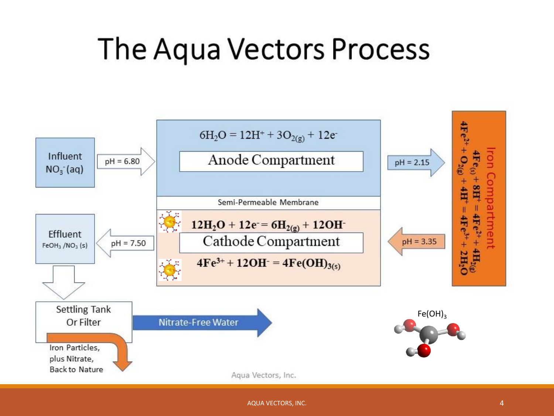## The Aqua Vectors Process

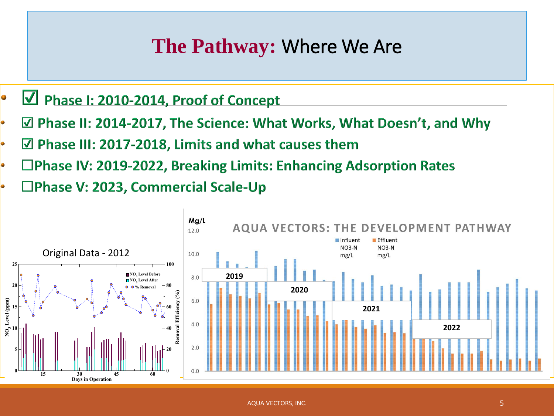## **The Pathway:** Where We Are

- Phase I: 2010-2014, Proof of Concept 0
- ☑ Phase II: 2014-2017, The Science: What Works, What Doesn't, and Why
- $\boxtimes$  Phase III: 2017-2018, Limits and what causes them
- $\Box$ Phase IV: 2019-2022, Breaking Limits: Enhancing Adsorption Rates
- $\Box$ Phase V: 2023, Commercial Scale-Up

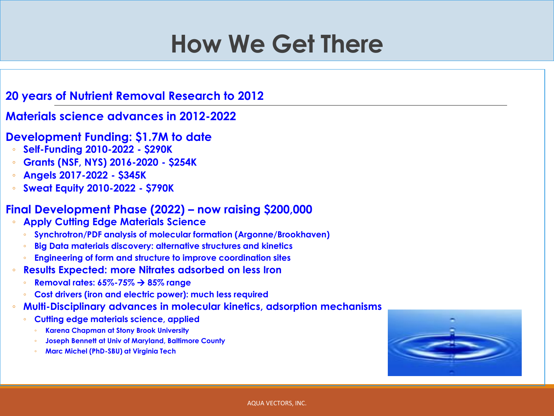## **How We Get There**

#### **20 years of Nutrient Removal Research to 2012**

#### **Materials science advances in 2012-2022**

- **Development Funding: \$1.7M to date**
	- **Self-Funding 2010-2022 - \$290K**
	- **Grants (NSF, NYS) 2016-2020 - \$254K**
	- **Angels 2017-2022 - \$345K**
	- **Sweat Equity 2010-2022 - \$790K**

#### **Final Development Phase (2022) – now raising \$200,000**

- **Apply Cutting Edge Materials Science**
	- **Synchrotron/PDF analysis of molecular formation (Argonne/Brookhaven)**
	- **Big Data materials discovery: alternative structures and kinetics**
	- **Engineering of form and structure to improve coordination sites**
- **Results Expected: more Nitrates adsorbed on less Iron**
	- **Removal rates: 65%-75%** → **85% range**
	- **Cost drivers (iron and electric power): much less required**
- **Multi-Disciplinary advances in molecular kinetics, adsorption mechanisms**
	- **Cutting edge materials science, applied**
		- **Karena Chapman at Stony Brook University**
		- **Joseph Bennett at Univ of Maryland, Baltimore County**
		- **Marc Michel (PhD-SBU) at Virginia Tech**

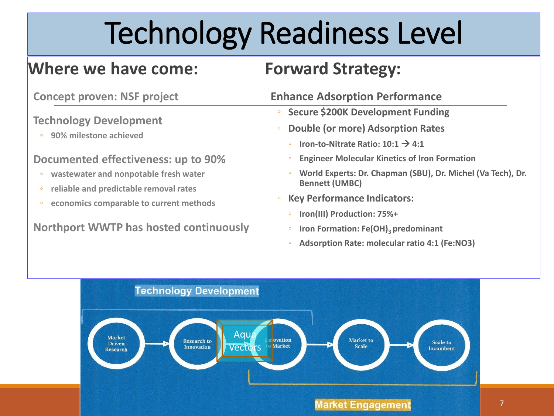# Technology Readiness Level

### **Where we have come:**

## **Forward Strategy:**

| <b>Concept proven: NSF project</b>                                                | <b>Enhance Adsorption Performance</b>                                                                                      |  |  |
|-----------------------------------------------------------------------------------|----------------------------------------------------------------------------------------------------------------------------|--|--|
| <b>Technology Development</b><br>90% milestone achieved                           | <b>Secure \$200K Development Funding</b>                                                                                   |  |  |
|                                                                                   | <b>Double (or more) Adsorption Rates</b>                                                                                   |  |  |
|                                                                                   | • Iron-to-Nitrate Ratio: $10:1 \rightarrow 4:1$                                                                            |  |  |
| Documented effectiveness: up to 90%                                               | <b>Engineer Molecular Kinetics of Iron Formation</b><br>$\circ$                                                            |  |  |
| wastewater and nonpotable fresh water                                             | World Experts: Dr. Chapman (SBU), Dr. Michel (Va Tech), Dr.<br><b>Bennett (UMBC)</b><br><b>Key Performance Indicators:</b> |  |  |
| reliable and predictable removal rates                                            |                                                                                                                            |  |  |
| economics comparable to current methods<br>Northport WWTP has hosted continuously |                                                                                                                            |  |  |
|                                                                                   | Iron(III) Production: 75%+<br>$\circ$                                                                                      |  |  |
|                                                                                   | Iron Formation: Fe(OH) <sub>3</sub> predominant<br>$\circ$                                                                 |  |  |
|                                                                                   | Adsorption Rate: molecular ratio 4:1 (Fe:NO3)                                                                              |  |  |

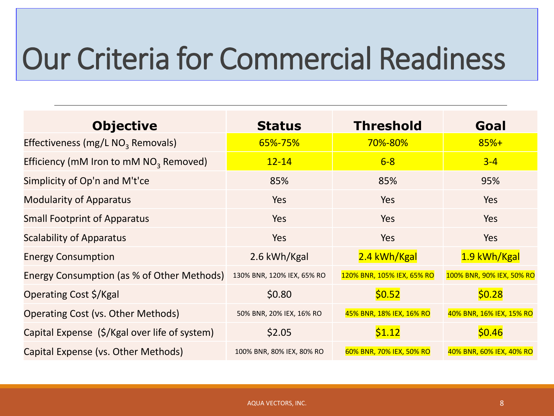# Our Criteria for Commercial Readiness

| <b>Objective</b>                                   | <b>Status</b>              | <b>Threshold</b>           | Goal                      |
|----------------------------------------------------|----------------------------|----------------------------|---------------------------|
| Effectiveness (mg/L NO <sub>3</sub> Removals)      | 65%-75%                    | 70%-80%                    | $85%+$                    |
| Efficiency (mM Iron to mM NO <sub>3</sub> Removed) | $12 - 14$                  | $6 - 8$                    | $3 - 4$                   |
| Simplicity of Op'n and M't'ce                      | 85%                        | 85%                        | 95%                       |
| <b>Modularity of Apparatus</b>                     | Yes                        | Yes                        | <b>Yes</b>                |
| <b>Small Footprint of Apparatus</b>                | Yes                        | Yes                        | <b>Yes</b>                |
| <b>Scalability of Apparatus</b>                    | Yes                        | <b>Yes</b>                 | Yes                       |
| <b>Energy Consumption</b>                          | 2.6 kWh/Kgal               | 2.4 kWh/Kgal               | 1.9 kWh/Kgal              |
| Energy Consumption (as % of Other Methods)         | 130% BNR, 120% IEX, 65% RO | 120% BNR, 105% IEX, 65% RO | 100% BNR, 90% IEX, 50% RO |
| Operating Cost \$/Kgal                             | \$0.80                     | \$0.52                     | \$0.28                    |
| Operating Cost (vs. Other Methods)                 | 50% BNR, 20% IEX, 16% RO   | 45% BNR, 18% IEX, 16% RO   | 40% BNR, 16% IEX, 15% RO  |
| Capital Expense (\$/Kgal over life of system)      | \$2.05                     | \$1.12                     | \$0.46                    |
| Capital Expense (vs. Other Methods)                | 100% BNR, 80% IEX, 80% RO  | 60% BNR, 70% IEX, 50% RO   | 40% BNR, 60% IEX, 40% RO  |